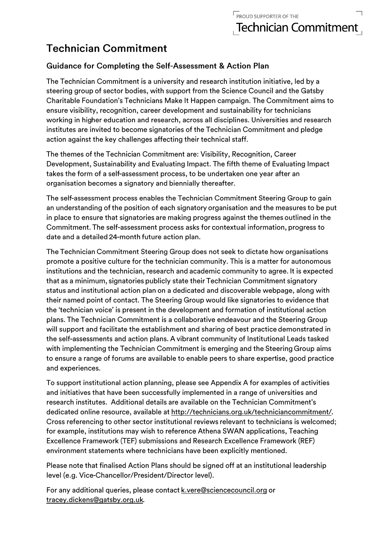## **Technician Commitment**

## **Guidance for Completing the Self-Assessment & Action Plan**

The Technician Commitment is a university and research institution initiative, led by a steering group of sector bodies, with support from the Science Council and the Gatsby Charitable Foundation's Technicians Make It Happen campaign. The Commitment aims to ensure visibility, recognition, career development and sustainability for technicians working in higher education and research, across all disciplines. Universities and research institutes are invited to become signatories of the Technician Commitment and pledge action against the key challenges affecting their technical staff.

The themes of the Technician Commitment are: Visibility, Recognition, Career Development, Sustainability and Evaluating Impact. The fifth theme of Evaluating Impact takes the form of a self-assessment process, to be undertaken one year after an organisation becomes a signatory and biennially thereafter.

The self-assessment process enables the Technician Commitment Steering Group to gain an understanding of the position of each signatory organisation and the measures to be put in place to ensure that signatories are making progress against the themes outlined in the Commitment. The self-assessment process asks for contextual information, progress to date and a detailed 24-month future action plan.

The Technician Commitment Steering Group does not seek to dictate how organisations promote a positive culture for the technician community. This is a matter for autonomous institutions and the technician, research and academic community to agree. It is expected that as a minimum, signatories publicly state their Technician Commitment signatory status and institutional action plan on a dedicated and discoverable webpage, along with their named point of contact. The Steering Group would like signatories to evidence that the 'technician voice' is present in the development and formation of institutional action plans. The Technician Commitment is a collaborative endeavour and the Steering Group will support and facilitate the establishment and sharing of best practice demonstrated in the self-assessments and action plans. A vibrant community of Institutional Leads tasked with implementing the Technician Commitment is emerging and the Steering Group aims to ensure a range of forums are available to enable peers to share expertise, good practice and experiences.

To support institutional action planning, please see Appendix A for examples of activities and initiatives that have been successfully implemented in a range of universities and research institutes. Additional details are available on the Technician Commitment's dedicated online resource, available at http://technicians.org.uk/techniciancommitment/. Cross referencing to other sector institutional reviews relevant to technicians is welcomed; for example, institutions may wish to reference Athena SWAN applications, Teaching Excellence Framework (TEF) submissions and Research Excellence Framework (REF) environment statements where technicians have been explicitly mentioned.

Please note that finalised Action Plans should be signed off at an institutional leadership level (e.g. Vice-Chancellor/President/Director level).

For any additional queries, please contact k.vere@sciencecouncil.org or tracey.dickens@gatsby.org.uk.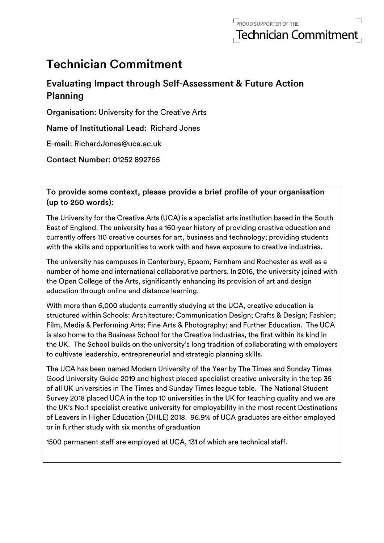# **Technician Commitment**

## **Evaluating Impact through Self-Assessment & Future Action** Planning

**Organisation: University for the Creative Arts** 

Name of Institutional Lead: Richard Jones

E-mail: RichardJones@uca.ac.uk

**Contact Number: 01252 892765** 

To provide some context, please provide a brief profile of your organisation  $(up to 250 words):$ 

The University for the Creative Arts (UCA) is a specialist arts institution based in the South East of England. The university has a 160-year history of providing creative education and currently offers 110 creative courses for art, business and technology; providing students with the skills and opportunities to work with and have exposure to creative industries.

The university has campuses in Canterbury, Epsom, Farnham and Rochester as well as a number of home and international collaborative partners. In 2016, the university joined with the Open College of the Arts, significantly enhancing its provision of art and design education through online and distance learning.

With more than 6,000 students currently studying at the UCA, creative education is structured within Schools: Architecture; Communication Design; Crafts & Design; Fashion; Film, Media & Performing Arts; Fine Arts & Photography; and Further Education. The UCA is also home to the Business School for the Creative Industries, the first within its kind in the UK. The School builds on the university's long tradition of collaborating with employers to cultivate leadership, entrepreneurial and strategic planning skills.

The UCA has been named Modern University of the Year by The Times and Sunday Times Good University Guide 2019 and highest placed specialist creative university in the top 35 of all UK universities in The Times and Sunday Times league table. The National Student Survey 2018 placed UCA in the top 10 universities in the UK for teaching quality and we are the UK's No.1 specialist creative university for employability in the most recent Destinations of Leavers in Higher Education (DHLE) 2018. 96.9% of UCA graduates are either employed or in further study with six months of graduation

1500 permanent staff are employed at UCA, 131 of which are technical staff.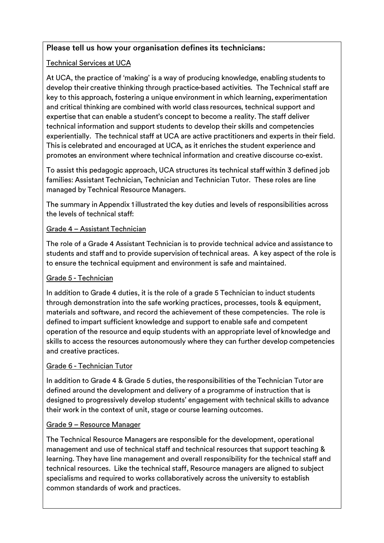## Please tell us how your organisation defines its technicians:

## **Technical Services at UCA**

At UCA, the practice of 'making' is a way of producing knowledge, enabling students to develop their creative thinking through practice-based activities. The Technical staff are key to this approach, fostering a unique environment in which learning, experimentation and critical thinking are combined with world class resources, technical support and expertise that can enable a student's concept to become a reality. The staff deliver technical information and support students to develop their skills and competencies experientially. The technical staff at UCA are active practitioners and experts in their field. This is celebrated and encouraged at UCA, as it enriches the student experience and promotes an environment where technical information and creative discourse co-exist.

To assist this pedagogic approach, UCA structures its technical staff within 3 defined job families: Assistant Technician, Technician and Technician Tutor. These roles are line managed by Technical Resource Managers.

The summary in Appendix 1 illustrated the key duties and levels of responsibilities across the levels of technical staff:

## Grade 4 - Assistant Technician

The role of a Grade 4 Assistant Technician is to provide technical advice and assistance to students and staff and to provide supervision of technical areas. A key aspect of the role is to ensure the technical equipment and environment is safe and maintained.

## Grade 5 - Technician

In addition to Grade 4 duties, it is the role of a grade 5 Technician to induct students through demonstration into the safe working practices, processes, tools & equipment, materials and software, and record the achievement of these competencies. The role is defined to impart sufficient knowledge and support to enable safe and competent operation of the resource and equip students with an appropriate level of knowledge and skills to access the resources autonomously where they can further develop competencies and creative practices.

## Grade 6 - Technician Tutor

In addition to Grade 4 & Grade 5 duties, the responsibilities of the Technician Tutor are defined around the development and delivery of a programme of instruction that is designed to progressively develop students' engagement with technical skills to advance their work in the context of unit, stage or course learning outcomes.

## Grade 9 - Resource Manager

The Technical Resource Managers are responsible for the development, operational management and use of technical staff and technical resources that support teaching & learning. They have line management and overall responsibility for the technical staff and technical resources. Like the technical staff, Resource managers are aligned to subject specialisms and required to works collaboratively across the university to establish common standards of work and practices.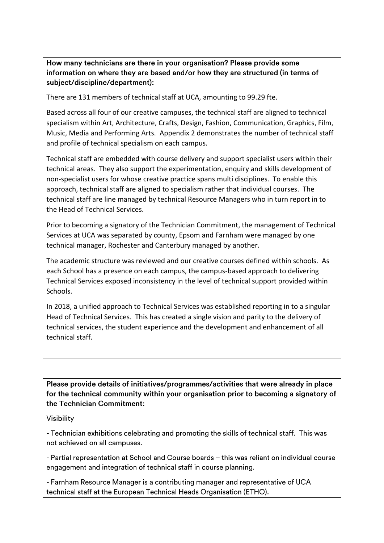How many technicians are there in your organisation? Please provide some information on where they are based and/or how they are structured (in terms of subject/discipline/department):

There are 131 members of technical staff at UCA, amounting to 99.29 fte.

Based across all four of our creative campuses, the technical staff are aligned to technical specialism within Art, Architecture, Crafts, Design, Fashion, Communication, Graphics, Film, Music, Media and Performing Arts. Appendix 2 demonstrates the number of technical staff and profile of technical specialism on each campus.

Technical staff are embedded with course delivery and support specialist users within their technical areas. They also support the experimentation, enquiry and skills development of non-specialist users for whose creative practice spans multi disciplines. To enable this approach, technical staff are aligned to specialism rather that individual courses. The technical staff are line managed by technical Resource Managers who in turn report in to the Head of Technical Services.

Prior to becoming a signatory of the Technician Commitment, the management of Technical Services at UCA was separated by county, Epsom and Farnham were managed by one technical manager, Rochester and Canterbury managed by another.

The academic structure was reviewed and our creative courses defined within schools. As each School has a presence on each campus, the campus-based approach to delivering Technical Services exposed inconsistency in the level of technical support provided within Schools.

In 2018, a unified approach to Technical Services was established reporting in to a singular Head of Technical Services. This has created a single vision and parity to the delivery of technical services, the student experience and the development and enhancement of all technical staff.

Please provide details of initiatives/programmes/activities that were already in place for the technical community within your organisation prior to becoming a signatory of the Technician Commitment:

#### **Visibility**

- Technician exhibitions celebrating and promoting the skills of technical staff. This was not achieved on all campuses.

- Partial representation at School and Course boards - this was reliant on individual course engagement and integration of technical staff in course planning.

- Farnham Resource Manager is a contributing manager and representative of UCA technical staff at the European Technical Heads Organisation (ETHO).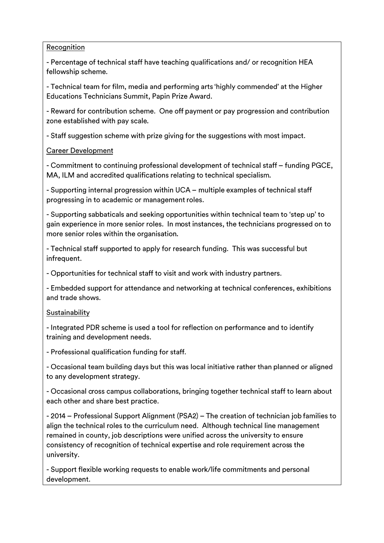#### Recognition

- Percentage of technical staff have teaching qualifications and/ or recognition HEA fellowship scheme.

- Technical team for film, media and performing arts 'highly commended' at the Higher Educations Technicians Summit, Papin Prize Award.

- Reward for contribution scheme. One off payment or pay progression and contribution zone established with pay scale.

- Staff suggestion scheme with prize giving for the suggestions with most impact.

## **Career Development**

- Commitment to continuing professional development of technical staff - funding PGCE, MA, ILM and accredited qualifications relating to technical specialism.

- Supporting internal progression within UCA - multiple examples of technical staff progressing in to academic or management roles.

- Supporting sabbaticals and seeking opportunities within technical team to 'step up' to gain experience in more senior roles. In most instances, the technicians progressed on to more senior roles within the organisation.

- Technical staff supported to apply for research funding. This was successful but infrequent.

- Opportunities for technical staff to visit and work with industry partners.

- Embedded support for attendance and networking at technical conferences, exhibitions and trade shows.

## Sustainability

- Integrated PDR scheme is used a tool for reflection on performance and to identify training and development needs.

- Professional qualification funding for staff.

- Occasional team building days but this was local initiative rather than planned or aligned to any development strategy.

- Occasional cross campus collaborations, bringing together technical staff to learn about each other and share best practice.

- 2014 – Professional Support Alignment (PSA2) – The creation of technician job families to align the technical roles to the curriculum need. Although technical line management remained in county, job descriptions were unified across the university to ensure consistency of recognition of technical expertise and role requirement across the university.

- Support flexible working requests to enable work/life commitments and personal development.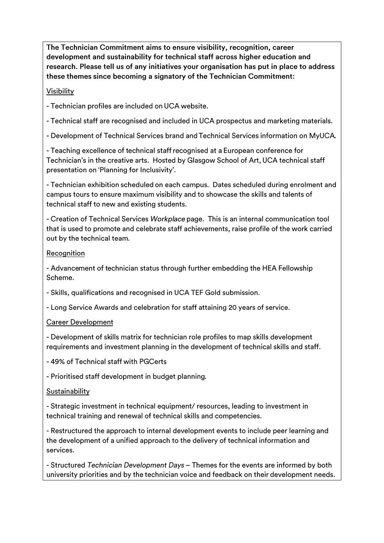The Technician Commitment aims to ensure visibility, recognition, career development and sustainability for technical staff across higher education and research. Please tell us of any initiatives your organisation has put in place to address these themes since becoming a signatory of the Technician Commitment:

#### **Visibility**

- Technician profiles are included on UCA website.

- Technical staff are recognised and included in UCA prospectus and marketing materials.

- Development of Technical Services brand and Technical Services information on MyUCA.

- Teaching excellence of technical staff recognised at a European conference for Technician's in the creative arts. Hosted by Glasgow School of Art, UCA technical staff presentation on 'Planning for Inclusivity'.

- Technician exhibition scheduled on each campus. Dates scheduled during enrolment and campus tours to ensure maximum visibility and to showcase the skills and talents of technical staff to new and existing students.

- Creation of Technical Services Workplace page. This is an internal communication tool that is used to promote and celebrate staff achievements, raise profile of the work carried out by the technical team.

#### Recognition

- Advancement of technician status through further embedding the HEA Fellowship Scheme.

- Skills, qualifications and recognised in UCA TEF Gold submission.

- Long Service Awards and celebration for staff attaining 20 years of service.

#### **Career Development**

- Development of skills matrix for technician role profiles to map skills development requirements and investment planning in the development of technical skills and staff.

-49% of Technical staff with PGCerts

- Prioritised staff development in budget planning.

#### Sustainability

- Strategic investment in technical equipment/ resources, leading to investment in technical training and renewal of technical skills and competencies.

- Restructured the approach to internal development events to include peer learning and the development of a unified approach to the delivery of technical information and services.

- Structured Technician Development Days - Themes for the events are informed by both university priorities and by the technician voice and feedback on their development needs.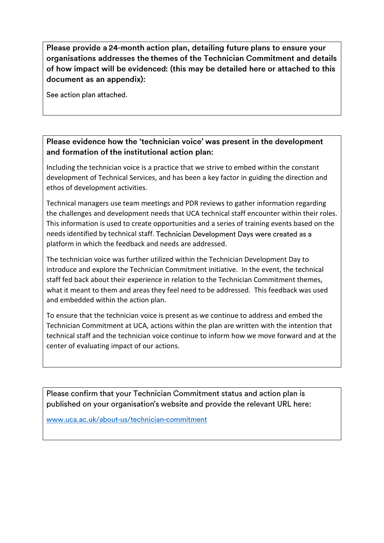Please provide a 24-month action plan, detailing future plans to ensure your organisations addresses the themes of the Technician Commitment and details of how impact will be evidenced: (this may be detailed here or attached to this document as an appendix):

See action plan attached.

## Please evidence how the 'technician voice' was present in the development and formation of the institutional action plan:

Including the technician voice is a practice that we strive to embed within the constant development of Technical Services, and has been a key factor in guiding the direction and ethos of development activities.

Technical managers use team meetings and PDR reviews to gather information regarding the challenges and development needs that UCA technical staff encounter within their roles. This information is used to create opportunities and a series of training events based on the needs identified by technical staff. Technician Development Days were created as a platform in which the feedback and needs are addressed.

The technician voice was further utilized within the Technician Development Day to introduce and explore the Technician Commitment initiative. In the event, the technical staff fed back about their experience in relation to the Technician Commitment themes, what it meant to them and areas they feel need to be addressed. This feedback was used and embedded within the action plan.

To ensure that the technician voice is present as we continue to address and embed the Technician Commitment at UCA, actions within the plan are written with the intention that technical staff and the technician voice continue to inform how we move forward and at the center of evaluating impact of our actions.

Please confirm that your Technician Commitment status and action plan is published on your organisation's website and provide the relevant URL here:

www.uca.ac.uk/about-us/technician-commitment